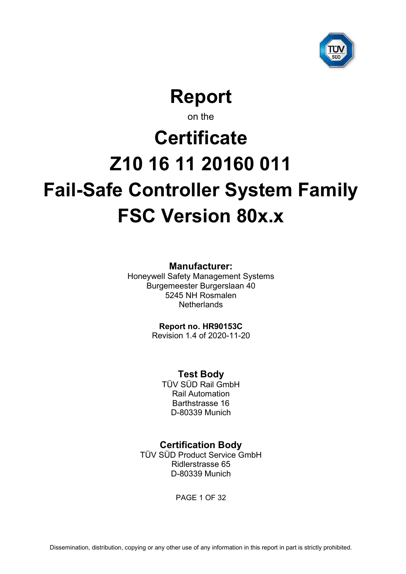

**Report**

on the

# <span id="page-0-6"></span><span id="page-0-5"></span><span id="page-0-4"></span>**Certificate Z10 16 11 20160 011 Fail-Safe Controller System Family FSC Version 80x.x**

**Manufacturer:**

<span id="page-0-3"></span>Honeywell Safety Management Systems Burgemeester Burgerslaan 40 5245 NH Rosmalen **Netherlands** 

<span id="page-0-1"></span><span id="page-0-0"></span>**Report no. HR90153C**

Revision 1.4 of 2020-11-20

<span id="page-0-2"></span>**Test Body**

TÜV SÜD Rail GmbH Rail Automation Barthstrasse 16 D-80339 Munich

# **Certification Body**

TÜV SÜD Product Service GmbH Ridlerstrasse 65 D-80339 Munich

PAGE 1 OF 32

Dissemination, distribution, copying or any other use of any information in this report in part is strictly prohibited.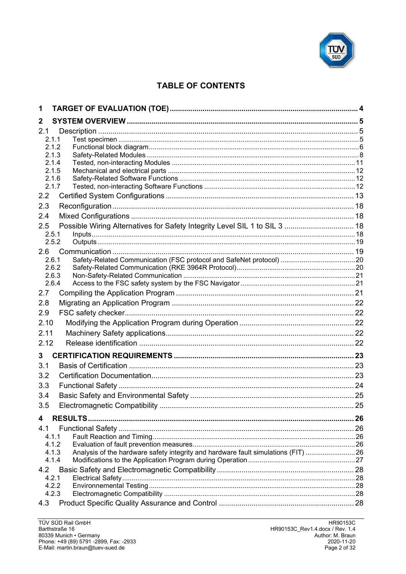

# **TABLE OF CONTENTS**

| 1    |                                                                                            |  |
|------|--------------------------------------------------------------------------------------------|--|
| 2    |                                                                                            |  |
| 2.1  |                                                                                            |  |
|      | 2.1.1                                                                                      |  |
|      | 2.1.2                                                                                      |  |
|      | 2.1.3<br>2.1.4                                                                             |  |
|      | 2.1.5                                                                                      |  |
|      | 2.1.6                                                                                      |  |
|      | 2.1.7                                                                                      |  |
| 2.2  |                                                                                            |  |
| 2.3  |                                                                                            |  |
| 2.4  |                                                                                            |  |
| 2.5  | Possible Wiring Alternatives for Safety Integrity Level SIL 1 to SIL 3  18                 |  |
|      | 2.5.1                                                                                      |  |
|      | 2.5.2                                                                                      |  |
| 2.6  | Safety-Related Communication (FSC protocol and SafeNet protocol)  20<br>2.6.1              |  |
|      | 2.6.2                                                                                      |  |
|      | 2.6.3                                                                                      |  |
|      | 2.6.4                                                                                      |  |
| 2.7  |                                                                                            |  |
| 2.8  |                                                                                            |  |
| 2.9  |                                                                                            |  |
| 2.10 |                                                                                            |  |
| 2.11 |                                                                                            |  |
| 2.12 |                                                                                            |  |
| 3    |                                                                                            |  |
| 3.1  |                                                                                            |  |
| 3.2  |                                                                                            |  |
| 3.3  |                                                                                            |  |
| 3.4  |                                                                                            |  |
| 3.5  |                                                                                            |  |
| 4    |                                                                                            |  |
| 4.1  |                                                                                            |  |
|      | 4.1.1                                                                                      |  |
|      | 4.1.2                                                                                      |  |
|      | Analysis of the hardware safety integrity and hardware fault simulations (FIT) 26<br>4.1.3 |  |
|      | 4.1.4                                                                                      |  |
| 4.2  |                                                                                            |  |
|      | 4.2.1                                                                                      |  |
|      | 4.2.2<br>4.2.3                                                                             |  |
| 4.3  |                                                                                            |  |
|      |                                                                                            |  |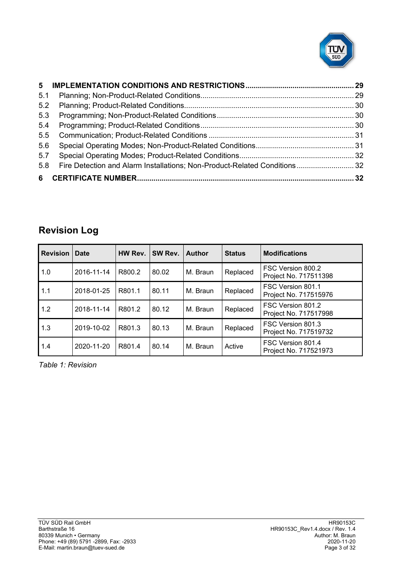

| 5.1 |  |
|-----|--|
| 5.2 |  |
| 5.3 |  |
| 5.4 |  |
| 5.5 |  |
| 5.6 |  |
| 5.7 |  |
| 5.8 |  |
|     |  |

# **Revision Log**

| <b>Revision</b> | <b>Date</b> | HW Rev. | SW Rev. | <b>Author</b> | <b>Status</b> | <b>Modifications</b>                       |
|-----------------|-------------|---------|---------|---------------|---------------|--------------------------------------------|
| 1.0             | 2016-11-14  | R800.2  | 80.02   | M. Braun      | Replaced      | FSC Version 800.2<br>Project No. 717511398 |
| 1.1             | 2018-01-25  | R801.1  | 80.11   | M. Braun      | Replaced      | FSC Version 801.1<br>Project No. 717515976 |
| 1.2             | 2018-11-14  | R801.2  | 80.12   | M. Braun      | Replaced      | FSC Version 801.2<br>Project No. 717517998 |
| 1.3             | 2019-10-02  | R801.3  | 80.13   | M. Braun      | Replaced      | FSC Version 801.3<br>Project No. 717519732 |
| 1.4             | 2020-11-20  | R801.4  | 80.14   | M. Braun      | Active        | FSC Version 801.4<br>Project No. 717521973 |

*Table 1: Revision*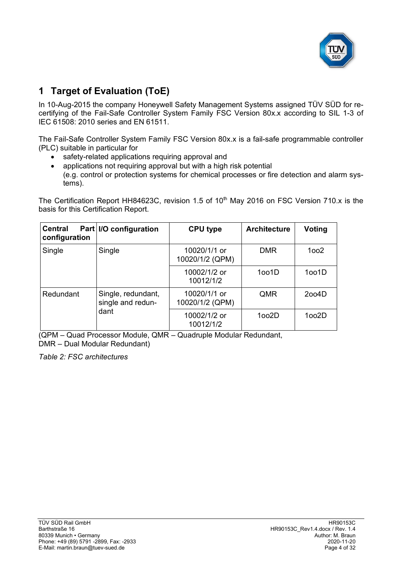<span id="page-3-1"></span>

# **1 Target of Evaluation (ToE)**

In 10-Aug-2015 the company [Honeywell Safety Management Systems](#page-0-3) assigned TÜV SÜD for recertifying of the [Fail-Safe Controller System Family](#page-0-4) [FSC Version 80x.x](#page-0-5) according to SIL 1-3 of IEC 61508: 2010 series and EN 61511.

The [Fail-Safe Controller System Family](#page-0-4) [FSC Version 80x.x](#page-0-5) is a fail-safe programmable controller (PLC) suitable in particular for

- safety-related applications requiring approval and
- applications not requiring approval but with a high risk potential (e.g. control or protection systems for chemical processes or fire detection and alarm systems).

The Certification Report HH84623C, revision 1.5 of 10<sup>th</sup> May 2016 on FSC Version 710.x is the basis for this Certification Report.

| <b>Central</b><br>configuration | Part I/O configuration                  | <b>CPU type</b>                 | <b>Architecture</b> | <b>Voting</b> |
|---------------------------------|-----------------------------------------|---------------------------------|---------------------|---------------|
| Single                          | Single                                  | 10020/1/1 or<br>10020/1/2 (QPM) | <b>DMR</b>          | 1002          |
|                                 |                                         | 10002/1/2 or<br>10012/1/2       | 1001D               | 1oo1D         |
| Redundant                       | Single, redundant,<br>single and redun- | 10020/1/1 or<br>10020/1/2 (QPM) | QMR                 | 2004D         |
|                                 | dant                                    | 10002/1/2 or<br>10012/1/2       | 1002D               | 1002D         |

(QPM – Quad Processor Module, QMR – Quadruple Modular Redundant, DMR – Dual Modular Redundant)

<span id="page-3-0"></span>*Table 2: FSC architectures*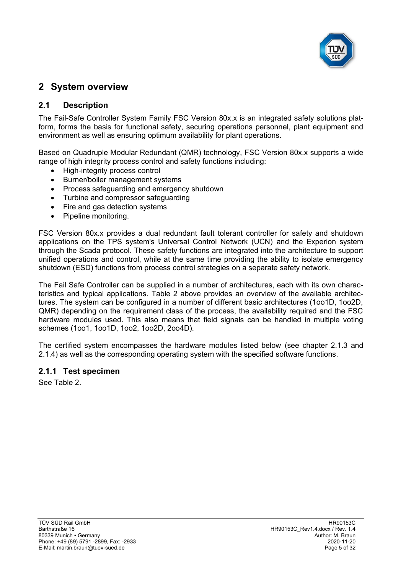

# **2 System overview**

## <span id="page-4-0"></span>**2.1 Description**

The [Fail-Safe Controller System Family](#page-0-4) [FSC Version 80x.x](#page-0-5) is an integrated safety solutions platform, forms the basis for functional safety, securing operations personnel, plant equipment and environment as well as ensuring optimum availability for plant operations.

Based on Quadruple Modular Redundant (QMR) technology, [FSC Version 80x.x](#page-0-5) supports a wide range of high integrity process control and safety functions including:

- High-integrity process control
- Burner/boiler management systems
- Process safeguarding and emergency shutdown
- Turbine and compressor safeguarding
- Fire and gas detection systems
- Pipeline monitoring.

[FSC Version 80x.x](#page-0-5) provides a dual redundant fault tolerant controller for safety and shutdown applications on the TPS system's Universal Control Network (UCN) and the Experion system through the Scada protocol. These safety functions are integrated into the architecture to support unified operations and control, while at the same time providing the ability to isolate emergency shutdown (ESD) functions from process control strategies on a separate safety network.

The Fail Safe Controller can be supplied in a number of architectures, each with its own characteristics and typical applications. [Table 2](#page-3-0) above provides an overview of the available architectures. The system can be configured in a number of different basic architectures (1oo1D, 1oo2D, QMR) depending on the requirement class of the process, the availability required and the FSC hardware modules used. This also means that field signals can be handled in multiple voting schemes (1oo1, 1oo1D, 1oo2, 1oo2D, 2oo4D).

The certified system encompasses the hardware modules listed below (see chapter [2.1.3](#page-7-0) and [2.1.4\)](#page-10-0) as well as the corresponding operating system with the specified software functions.

## **2.1.1 Test specimen**

See [Table 2.](#page-3-0)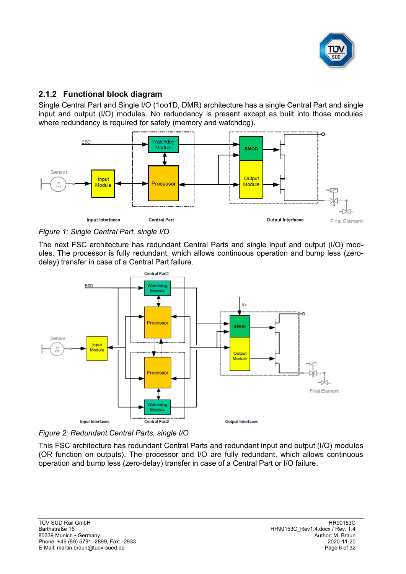

## **2.1.2 Functional block diagram**

Single Central Part and Single I/O (1oo1D, DMR) architecture has a single Central Part and single input and output (I/O) modules. No redundancy is present except as built into those modules where redundancy is required for safety (memory and watchdog).





The next FSC architecture has redundant Central Parts and single input and output (I/O) modules. The processor is fully redundant, which allows continuous operation and bump less (zerodelay) transfer in case of a Central Part failure.



*Figure 2: Redundant Central Parts, single I/O*

This FSC architecture has redundant Central Parts and redundant input and output (I/O) modules (OR function on outputs). The processor and I/O are fully redundant, which allows continuous operation and bump less (zero-delay) transfer in case of a Central Part or I/O failure.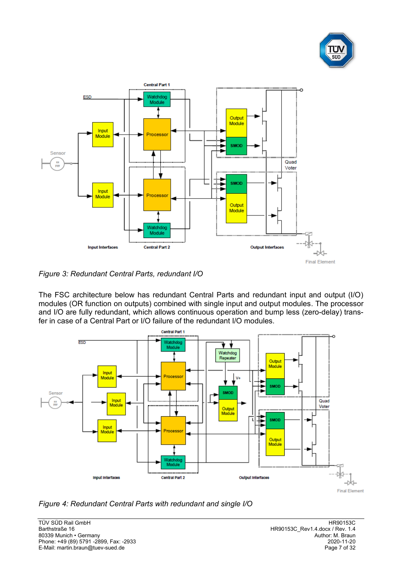



*Figure 3: Redundant Central Parts, redundant I/O*

The FSC architecture below has redundant Central Parts and redundant input and output (I/O) modules (OR function on outputs) combined with single input and output modules. The processor and I/O are fully redundant, which allows continuous operation and bump less (zero-delay) transfer in case of a Central Part or I/O failure of the redundant I/O modules.



*Figure 4: Redundant Central Parts with redundant and single I/O*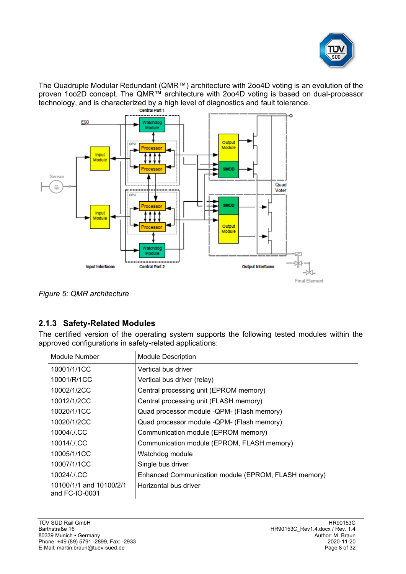

The Quadruple Modular Redundant (QMR™) architecture with 2oo4D voting is an evolution of the proven 1oo2D concept. The QMR™ architecture with 2oo4D voting is based on dual-processor technology, and is characterized by a high level of diagnostics and fault tolerance.<br> **Contral Part 1** 



*Figure 5: QMR architecture*

# <span id="page-7-0"></span>**2.1.3 Safety-Related Modules**

The certified version of the operating system supports the following tested modules within the approved configurations in safety-related applications:

| Module Number                             | <b>Module Description</b>                           |
|-------------------------------------------|-----------------------------------------------------|
| 10001/1/1CC                               | Vertical bus driver                                 |
| 10001/R/1CC                               | Vertical bus driver (relay)                         |
| 10002/1/2CC                               | Central processing unit (EPROM memory)              |
| 10012/1/2CC                               | Central processing unit (FLASH memory)              |
| 10020/1/1CC                               | Quad processor module -QPM- (Flash memory)          |
| 10020/1/2CC                               | Quad processor module -QPM- (Flash memory)          |
| 10004/./.CC                               | Communication module (EPROM memory)                 |
| 10014/./.CC                               | Communication module (EPROM, FLASH memory)          |
| 10005/1/1CC                               | Watchdog module                                     |
| 10007/1/1CC                               | Single bus driver                                   |
| 10024/./.CC                               | Enhanced Communication module (EPROM, FLASH memory) |
| 10100/1/1 and 10100/2/1<br>and FC-IO-0001 | Horizontal bus driver                               |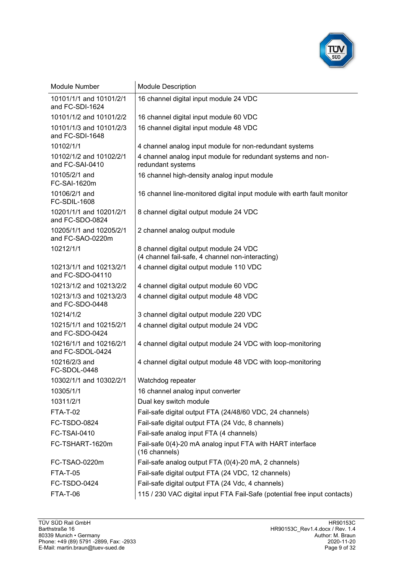

| <b>Module Number</b>                        | <b>Module Description</b>                                                         |  |  |  |
|---------------------------------------------|-----------------------------------------------------------------------------------|--|--|--|
| 10101/1/1 and 10101/2/1<br>and FC-SDI-1624  | 16 channel digital input module 24 VDC                                            |  |  |  |
| 10101/1/2 and 10101/2/2                     | 16 channel digital input module 60 VDC                                            |  |  |  |
| 10101/1/3 and 10101/2/3<br>and FC-SDI-1648  | 16 channel digital input module 48 VDC                                            |  |  |  |
| 10102/1/1                                   | 4 channel analog input module for non-redundant systems                           |  |  |  |
| 10102/1/2 and 10102/2/1<br>and FC-SAI-0410  | 4 channel analog input module for redundant systems and non-<br>redundant systems |  |  |  |
| 10105/2/1 and<br>FC-SAI-1620m               | 16 channel high-density analog input module                                       |  |  |  |
| 10106/2/1 and<br><b>FC-SDIL-1608</b>        | 16 channel line-monitored digital input module with earth fault monitor           |  |  |  |
| 10201/1/1 and 10201/2/1<br>and FC-SDO-0824  | 8 channel digital output module 24 VDC                                            |  |  |  |
| 10205/1/1 and 10205/2/1<br>and FC-SAO-0220m | 2 channel analog output module                                                    |  |  |  |
| 10212/1/1                                   | 8 channel digital output module 24 VDC                                            |  |  |  |
|                                             | (4 channel fail-safe, 4 channel non-interacting)                                  |  |  |  |
| 10213/1/1 and 10213/2/1<br>and FC-SDO-04110 | 4 channel digital output module 110 VDC                                           |  |  |  |
| 10213/1/2 and 10213/2/2                     | 4 channel digital output module 60 VDC                                            |  |  |  |
| 10213/1/3 and 10213/2/3<br>and FC-SDO-0448  | 4 channel digital output module 48 VDC                                            |  |  |  |
| 10214/1/2                                   | 3 channel digital output module 220 VDC                                           |  |  |  |
| 10215/1/1 and 10215/2/1<br>and FC-SDO-0424  | 4 channel digital output module 24 VDC                                            |  |  |  |
| 10216/1/1 and 10216/2/1<br>and FC-SDOL-0424 | 4 channel digital output module 24 VDC with loop-monitoring                       |  |  |  |
| 10216/2/3 and<br>FC-SDOL-0448               | 4 channel digital output module 48 VDC with loop-monitoring                       |  |  |  |
| 10302/1/1 and 10302/2/1                     | Watchdog repeater                                                                 |  |  |  |
| 10305/1/1                                   | 16 channel analog input converter                                                 |  |  |  |
| 10311/2/1                                   | Dual key switch module                                                            |  |  |  |
| <b>FTA-T-02</b>                             | Fail-safe digital output FTA (24/48/60 VDC, 24 channels)                          |  |  |  |
| FC-TSDO-0824                                | Fail-safe digital output FTA (24 Vdc, 8 channels)                                 |  |  |  |
| <b>FC-TSAI-0410</b>                         | Fail-safe analog input FTA (4 channels)                                           |  |  |  |
| FC-TSHART-1620m                             | Fail-safe 0(4)-20 mA analog input FTA with HART interface<br>(16 channels)        |  |  |  |
| FC-TSAO-0220m                               | Fail-safe analog output FTA (0(4)-20 mA, 2 channels)                              |  |  |  |
| <b>FTA-T-05</b>                             | Fail-safe digital output FTA (24 VDC, 12 channels)                                |  |  |  |
| FC-TSDO-0424                                | Fail-safe digital output FTA (24 Vdc, 4 channels)                                 |  |  |  |
| FTA-T-06                                    | 115 / 230 VAC digital input FTA Fail-Safe (potential free input contacts)         |  |  |  |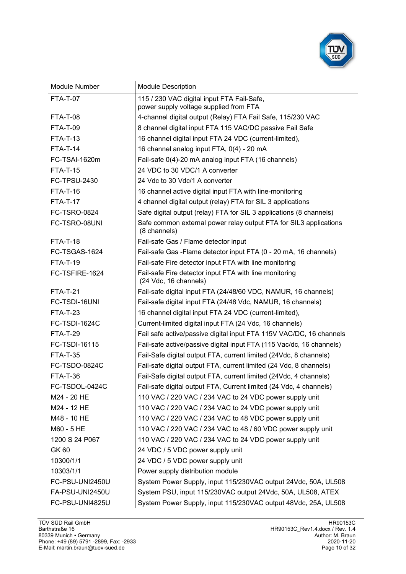

| Module Number        | <b>Module Description</b>                                                            |  |
|----------------------|--------------------------------------------------------------------------------------|--|
| <b>FTA-T-07</b>      | 115 / 230 VAC digital input FTA Fail-Safe,<br>power supply voltage supplied from FTA |  |
| <b>FTA-T-08</b>      | 4-channel digital output (Relay) FTA Fail Safe, 115/230 VAC                          |  |
| <b>FTA-T-09</b>      | 8 channel digital input FTA 115 VAC/DC passive Fail Safe                             |  |
| <b>FTA-T-13</b>      | 16 channel digital input FTA 24 VDC (current-limited),                               |  |
| <b>FTA-T-14</b>      | 16 channel analog input FTA, 0(4) - 20 mA                                            |  |
| FC-TSAI-1620m        | Fail-safe 0(4)-20 mA analog input FTA (16 channels)                                  |  |
| <b>FTA-T-15</b>      | 24 VDC to 30 VDC/1 A converter                                                       |  |
| FC-TPSU-2430         | 24 Vdc to 30 Vdc/1 A converter                                                       |  |
| <b>FTA-T-16</b>      | 16 channel active digital input FTA with line-monitoring                             |  |
| <b>FTA-T-17</b>      | 4 channel digital output (relay) FTA for SIL 3 applications                          |  |
| <b>FC-TSRO-0824</b>  | Safe digital output (relay) FTA for SIL 3 applications (8 channels)                  |  |
| FC-TSRO-08UNI        | Safe common external power relay output FTA for SIL3 applications<br>(8 channels)    |  |
| <b>FTA-T-18</b>      | Fail-safe Gas / Flame detector input                                                 |  |
| FC-TSGAS-1624        | Fail-safe Gas -Flame detector input FTA (0 - 20 mA, 16 channels)                     |  |
| <b>FTA-T-19</b>      | Fail-safe Fire detector input FTA with line monitoring                               |  |
| FC-TSFIRE-1624       | Fail-safe Fire detector input FTA with line monitoring<br>(24 Vdc, 16 channels)      |  |
| <b>FTA-T-21</b>      | Fail-safe digital input FTA (24/48/60 VDC, NAMUR, 16 channels)                       |  |
| FC-TSDI-16UNI        | Fail-safe digital input FTA (24/48 Vdc, NAMUR, 16 channels)                          |  |
| <b>FTA-T-23</b>      | 16 channel digital input FTA 24 VDC (current-limited),                               |  |
| <b>FC-TSDI-1624C</b> | Current-limited digital input FTA (24 Vdc, 16 channels)                              |  |
| <b>FTA-T-29</b>      | Fail safe active/passive digital input FTA 115V VAC/DC, 16 channels                  |  |
| FC-TSDI-16115        | Fail-safe active/passive digital input FTA (115 Vac/dc, 16 channels)                 |  |
| <b>FTA-T-35</b>      | Fail-Safe digital output FTA, current limited (24Vdc, 8 channels)                    |  |
| FC-TSDO-0824C        | Fail-safe digital output FTA, current limited (24 Vdc, 8 channels)                   |  |
| <b>FTA-T-36</b>      | Fail-Safe digital output FTA, current limited (24Vdc, 4 channels)                    |  |
| FC-TSDOL-0424C       | Fail-safe digital output FTA, Current limited (24 Vdc, 4 channels)                   |  |
| M24 - 20 HE          | 110 VAC / 220 VAC / 234 VAC to 24 VDC power supply unit                              |  |
| M24 - 12 HE          | 110 VAC / 220 VAC / 234 VAC to 24 VDC power supply unit                              |  |
| M48 - 10 HE          | 110 VAC / 220 VAC / 234 VAC to 48 VDC power supply unit                              |  |
| M60 - 5 HE           | 110 VAC / 220 VAC / 234 VAC to 48 / 60 VDC power supply unit                         |  |
| 1200 S 24 P067       | 110 VAC / 220 VAC / 234 VAC to 24 VDC power supply unit                              |  |
| <b>GK60</b>          | 24 VDC / 5 VDC power supply unit                                                     |  |
| 10300/1/1            | 24 VDC / 5 VDC power supply unit                                                     |  |
| 10303/1/1            | Power supply distribution module                                                     |  |
| FC-PSU-UNI2450U      | System Power Supply, input 115/230VAC output 24Vdc, 50A, UL508                       |  |
| FA-PSU-UNI2450U      | System PSU, input 115/230VAC output 24Vdc, 50A, UL508, ATEX                          |  |
| FC-PSU-UNI4825U      | System Power Supply, input 115/230VAC output 48Vdc, 25A, UL508                       |  |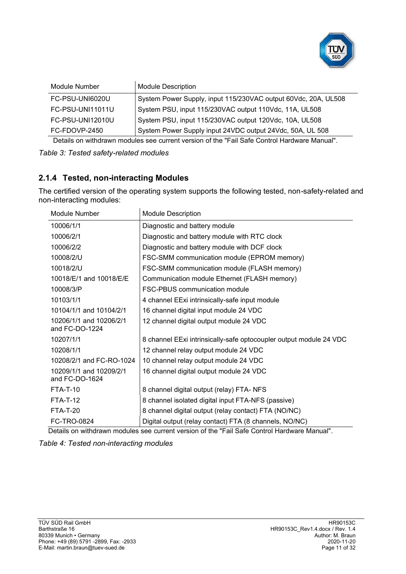

| Module Number    | <b>Module Description</b>                                      |
|------------------|----------------------------------------------------------------|
| FC-PSU-UNI6020U  | System Power Supply, input 115/230VAC output 60Vdc, 20A, UL508 |
| FC-PSU-UNI11011U | System PSU, input 115/230VAC output 110Vdc, 11A, UL508         |
| FC-PSU-UNI12010U | System PSU, input 115/230VAC output 120Vdc, 10A, UL508         |
| FC-FDOVP-2450    | System Power Supply input 24VDC output 24Vdc, 50A, UL 508      |

Details on withdrawn modules see current version of the "Fail Safe Control Hardware Manual".

#### *Table 3: Tested safety-related modules*

#### <span id="page-10-0"></span>**2.1.4 Tested, non-interacting Modules**

The certified version of the operating system supports the following tested, non-safety-related and non-interacting modules:

| Module Number                             | <b>Module Description</b>                                          |
|-------------------------------------------|--------------------------------------------------------------------|
| 10006/1/1                                 | Diagnostic and battery module                                      |
| 10006/2/1                                 | Diagnostic and battery module with RTC clock                       |
| 10006/2/2                                 | Diagnostic and battery module with DCF clock                       |
| 10008/2/U                                 | FSC-SMM communication module (EPROM memory)                        |
| 10018/2/U                                 | FSC-SMM communication module (FLASH memory)                        |
| 10018/E/1 and 10018/E/E                   | Communication module Ethernet (FLASH memory)                       |
| 10008/3/P                                 | <b>FSC-PBUS communication module</b>                               |
| 10103/1/1                                 | 4 channel EExi intrinsically-safe input module                     |
| 10104/1/1 and 10104/2/1                   | 16 channel digital input module 24 VDC                             |
| 10206/1/1 and 10206/2/1<br>and FC-DO-1224 | 12 channel digital output module 24 VDC                            |
| 10207/1/1                                 | 8 channel EExi intrinsically-safe optocoupler output module 24 VDC |
| 10208/1/1                                 | 12 channel relay output module 24 VDC                              |
| 10208/2/1 and FC-RO-1024                  | 10 channel relay output module 24 VDC                              |
| 10209/1/1 and 10209/2/1<br>and FC-DO-1624 | 16 channel digital output module 24 VDC                            |
| <b>FTA-T-10</b>                           | 8 channel digital output (relay) FTA- NFS                          |
| <b>FTA-T-12</b>                           | 8 channel isolated digital input FTA-NFS (passive)                 |
| <b>FTA-T-20</b>                           | 8 channel digital output (relay contact) FTA (NO/NC)               |
| <b>FC-TRO-0824</b>                        | Digital output (relay contact) FTA (8 channels, NO/NC)             |

Details on withdrawn modules see current version of the "Fail Safe Control Hardware Manual".

*Table 4: Tested non-interacting modules*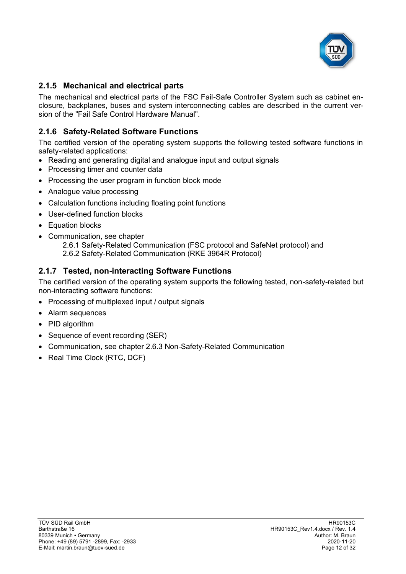

## **2.1.5 Mechanical and electrical parts**

The mechanical and electrical parts of the FSC Fail-Safe Controller System such as cabinet enclosure, backplanes, buses and system interconnecting cables are described in the current version of the "Fail Safe Control Hardware Manual".

# **2.1.6 Safety-Related Software Functions**

The certified version of the operating system supports the following tested software functions in safety-related applications:

- Reading and generating digital and analogue input and output signals
- Processing timer and counter data
- Processing the user program in function block mode
- Analogue value processing
- Calculation functions including floating point functions
- User-defined function blocks
- Equation blocks
- Communication, see chapter
	- [2.6.1](#page-19-0) [Safety-Related Communication \(FSC protocol](#page-19-0) and SafeNet protocol) and
	- [2.6.2](#page-19-1) [Safety-Related Communication \(RKE 3964R Protocol\)](#page-19-1)

## **2.1.7 Tested, non-interacting Software Functions**

The certified version of the operating system supports the following tested, non-safety-related but non-interacting software functions:

- Processing of multiplexed input / output signals
- Alarm sequences
- PID algorithm
- Sequence of event recording (SER)
- Communication, see chapter [2.6.3](#page-20-0) [Non-Safety-Related Communication](#page-20-0)
- Real Time Clock (RTC, DCF)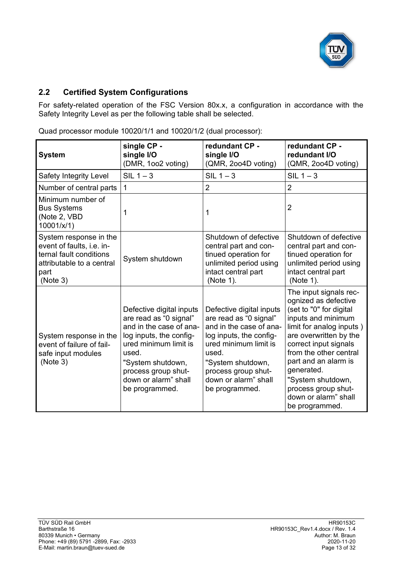

# **2.2 Certified System Configurations**

For safety-related operation of the [FSC Version](#page-0-5) 80x.x, a configuration in accordance with the Safety Integrity Level as per the following table shall be selected.

| <b>System</b>                                                                                                                   | single CP -<br>single I/O<br>(DMR, 1002 voting)                                                                                                                                                                                  | redundant CP -<br>single I/O<br>(QMR, 2004D voting)                                                                                                                                                                              | redundant CP -<br>redundant I/O<br>(QMR, 2004D voting)                                                                                                                                                                                                                                                                               |
|---------------------------------------------------------------------------------------------------------------------------------|----------------------------------------------------------------------------------------------------------------------------------------------------------------------------------------------------------------------------------|----------------------------------------------------------------------------------------------------------------------------------------------------------------------------------------------------------------------------------|--------------------------------------------------------------------------------------------------------------------------------------------------------------------------------------------------------------------------------------------------------------------------------------------------------------------------------------|
| Safety Integrity Level                                                                                                          | $SIL 1 - 3$                                                                                                                                                                                                                      | $SIL 1 - 3$                                                                                                                                                                                                                      | $SIL 1 - 3$                                                                                                                                                                                                                                                                                                                          |
| Number of central parts                                                                                                         | $\mathbf 1$                                                                                                                                                                                                                      | $\overline{2}$                                                                                                                                                                                                                   | $\overline{2}$                                                                                                                                                                                                                                                                                                                       |
| Minimum number of<br><b>Bus Systems</b><br>(Note 2, VBD<br>10001/x/1)                                                           | 1                                                                                                                                                                                                                                | 1                                                                                                                                                                                                                                | $\overline{2}$                                                                                                                                                                                                                                                                                                                       |
| System response in the<br>event of faults, i.e. in-<br>ternal fault conditions<br>attributable to a central<br>part<br>(Note 3) | System shutdown                                                                                                                                                                                                                  | Shutdown of defective<br>central part and con-<br>tinued operation for<br>unlimited period using<br>intact central part<br>(Note 1).                                                                                             | Shutdown of defective<br>central part and con-<br>tinued operation for<br>unlimited period using<br>intact central part<br>(Note 1).                                                                                                                                                                                                 |
| System response in the<br>event of failure of fail-<br>safe input modules<br>(Note 3)                                           | Defective digital inputs<br>are read as "0 signal"<br>and in the case of ana-<br>log inputs, the config-<br>ured minimum limit is<br>used.<br>"System shutdown,<br>process group shut-<br>down or alarm" shall<br>be programmed. | Defective digital inputs<br>are read as "0 signal"<br>and in the case of ana-<br>log inputs, the config-<br>ured minimum limit is<br>used.<br>"System shutdown,<br>process group shut-<br>down or alarm" shall<br>be programmed. | The input signals rec-<br>ognized as defective<br>(set to "0" for digital<br>inputs and minimum<br>limit for analog inputs)<br>are overwritten by the<br>correct input signals<br>from the other central<br>part and an alarm is<br>generated.<br>"System shutdown,<br>process group shut-<br>down or alarm" shall<br>be programmed. |

Quad processor module 10020/1/1 and 10020/1/2 (dual processor):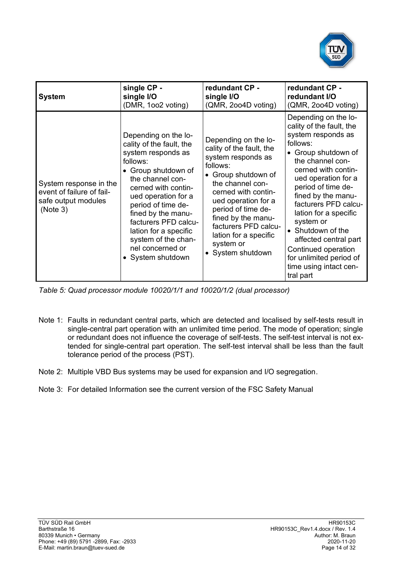

| <b>System</b>                                                                          | single CP -                                                                                                                                                                                                                                                                                                                              | redundant CP -                                                                                                                                                                                                                                                                                             | redundant CP -                                                                                                                                                                                                                                                                                                                                                                                                               |
|----------------------------------------------------------------------------------------|------------------------------------------------------------------------------------------------------------------------------------------------------------------------------------------------------------------------------------------------------------------------------------------------------------------------------------------|------------------------------------------------------------------------------------------------------------------------------------------------------------------------------------------------------------------------------------------------------------------------------------------------------------|------------------------------------------------------------------------------------------------------------------------------------------------------------------------------------------------------------------------------------------------------------------------------------------------------------------------------------------------------------------------------------------------------------------------------|
|                                                                                        | single I/O                                                                                                                                                                                                                                                                                                                               | single I/O                                                                                                                                                                                                                                                                                                 | redundant I/O                                                                                                                                                                                                                                                                                                                                                                                                                |
|                                                                                        | (DMR, 1002 voting)                                                                                                                                                                                                                                                                                                                       | (QMR, 2004D voting)                                                                                                                                                                                                                                                                                        | (QMR, 2004D voting)                                                                                                                                                                                                                                                                                                                                                                                                          |
| System response in the<br>event of failure of fail-<br>safe output modules<br>(Note 3) | Depending on the lo-<br>cality of the fault, the<br>system responds as<br>follows:<br>• Group shutdown of<br>the channel con-<br>cerned with contin-<br>ued operation for a<br>period of time de-<br>fined by the manu-<br>facturers PFD calcu-<br>lation for a specific<br>system of the chan-<br>nel concerned or<br>• System shutdown | Depending on the lo-<br>cality of the fault, the<br>system responds as<br>follows:<br>• Group shutdown of<br>the channel con-<br>cerned with contin-<br>ued operation for a<br>period of time de-<br>fined by the manu-<br>facturers PFD calcu-<br>lation for a specific<br>system or<br>• System shutdown | Depending on the lo-<br>cality of the fault, the<br>system responds as<br>follows:<br>• Group shutdown of<br>the channel con-<br>cerned with contin-<br>ued operation for a<br>period of time de-<br>fined by the manu-<br>facturers PFD calcu-<br>lation for a specific<br>system or<br>• Shutdown of the<br>affected central part<br>Continued operation<br>for unlimited period of<br>time using intact cen-<br>tral part |

*Table 5: Quad processor module 10020/1/1 and 10020/1/2 (dual processor)*

- Note 1: Faults in redundant central parts, which are detected and localised by self-tests result in single-central part operation with an unlimited time period. The mode of operation; single or redundant does not influence the coverage of self-tests. The self-test interval is not extended for single-central part operation. The self-test interval shall be less than the fault tolerance period of the process (PST).
- Note 2: Multiple VBD Bus systems may be used for expansion and I/O segregation.
- Note 3: For detailed Information see the current version of the FSC Safety Manual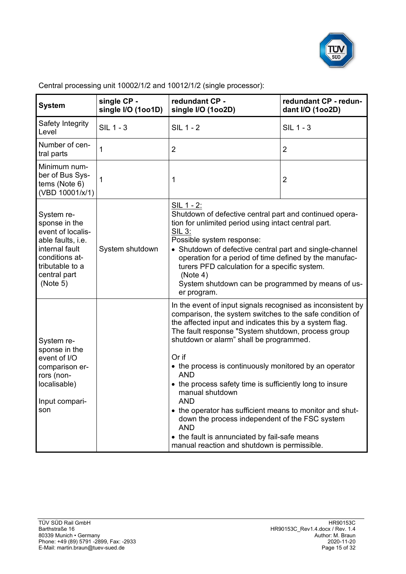

| <b>System</b>                                                                                                                                            | single CP -<br>redundant CP -<br>single I/O (1oo1D)<br>single I/O (1002D) |                                                                                                                                                                                                                                                                                                                                                                                                                                                                                                                                                                                                                                                                                         | redundant CP - redun-<br>dant I/O (1002D) |
|----------------------------------------------------------------------------------------------------------------------------------------------------------|---------------------------------------------------------------------------|-----------------------------------------------------------------------------------------------------------------------------------------------------------------------------------------------------------------------------------------------------------------------------------------------------------------------------------------------------------------------------------------------------------------------------------------------------------------------------------------------------------------------------------------------------------------------------------------------------------------------------------------------------------------------------------------|-------------------------------------------|
| Safety Integrity<br>Level                                                                                                                                | <b>SIL 1 - 3</b>                                                          | <b>SIL 1 - 2</b>                                                                                                                                                                                                                                                                                                                                                                                                                                                                                                                                                                                                                                                                        | <b>SIL 1 - 3</b>                          |
| Number of cen-<br>tral parts                                                                                                                             | 1                                                                         | $\overline{2}$                                                                                                                                                                                                                                                                                                                                                                                                                                                                                                                                                                                                                                                                          | $\overline{2}$                            |
| Minimum num-<br>ber of Bus Sys-<br>tems (Note 6)<br>(VBD 10001/x/1)                                                                                      | 1                                                                         | 1                                                                                                                                                                                                                                                                                                                                                                                                                                                                                                                                                                                                                                                                                       | $\overline{2}$                            |
| System re-<br>sponse in the<br>event of localis-<br>able faults, i.e.<br>internal fault<br>conditions at-<br>tributable to a<br>central part<br>(Note 5) | System shutdown                                                           | SIL 1 - 2:<br>Shutdown of defective central part and continued opera-<br>tion for unlimited period using intact central part.<br><b>SIL 3:</b><br>Possible system response:<br>• Shutdown of defective central part and single-channel<br>operation for a period of time defined by the manufac-<br>turers PFD calculation for a specific system.<br>(Note 4)<br>System shutdown can be programmed by means of us-<br>er program.                                                                                                                                                                                                                                                       |                                           |
| System re-<br>sponse in the<br>event of I/O<br>comparison er-<br>rors (non-<br>localisable)<br>Input compari-<br>son                                     |                                                                           | In the event of input signals recognised as inconsistent by<br>comparison, the system switches to the safe condition of<br>the affected input and indicates this by a system flag.<br>The fault response "System shutdown, process group<br>shutdown or alarm" shall be programmed.<br>Or if<br>• the process is continuously monitored by an operator<br><b>AND</b><br>• the process safety time is sufficiently long to insure<br>manual shutdown<br>AND<br>• the operator has sufficient means to monitor and shut-<br>down the process independent of the FSC system<br><b>AND</b><br>• the fault is annunciated by fail-safe means<br>manual reaction and shutdown is permissible. |                                           |

Central processing unit 10002/1/2 and 10012/1/2 (single processor):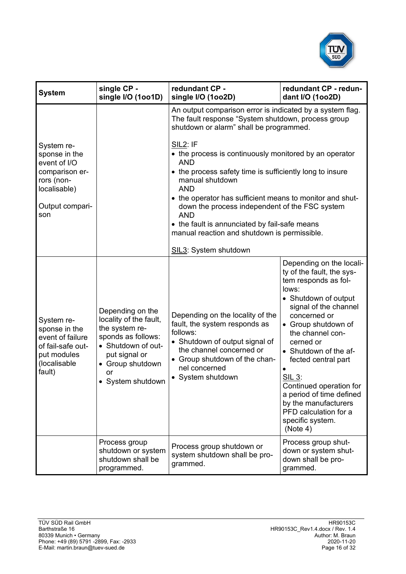

| <b>System</b>                                                                                                         | single CP -<br>single I/O (1001D)                                                                                                                                        | redundant CP -<br>single I/O (1002D)                                                                                                                                                                                                                                                                                                                                                                                                                                                                                                                                            | redundant CP - redun-<br>dant I/O (1002D)                                                                                                                                                                                                                                                                                                                                                                                |
|-----------------------------------------------------------------------------------------------------------------------|--------------------------------------------------------------------------------------------------------------------------------------------------------------------------|---------------------------------------------------------------------------------------------------------------------------------------------------------------------------------------------------------------------------------------------------------------------------------------------------------------------------------------------------------------------------------------------------------------------------------------------------------------------------------------------------------------------------------------------------------------------------------|--------------------------------------------------------------------------------------------------------------------------------------------------------------------------------------------------------------------------------------------------------------------------------------------------------------------------------------------------------------------------------------------------------------------------|
| System re-<br>sponse in the<br>event of I/O<br>comparison er-<br>rors (non-<br>localisable)<br>Output compari-<br>son |                                                                                                                                                                          | An output comparison error is indicated by a system flag.<br>The fault response "System shutdown, process group<br>shutdown or alarm" shall be programmed.<br><b>SIL2: IF</b><br>• the process is continuously monitored by an operator<br><b>AND</b><br>• the process safety time is sufficiently long to insure<br>manual shutdown<br><b>AND</b><br>• the operator has sufficient means to monitor and shut-<br>down the process independent of the FSC system<br><b>AND</b><br>• the fault is annunciated by fail-safe means<br>manual reaction and shutdown is permissible. |                                                                                                                                                                                                                                                                                                                                                                                                                          |
| System re-<br>sponse in the<br>event of failure<br>of fail-safe out-<br>put modules<br>(localisable<br>fault)         | Depending on the<br>locality of the fault,<br>the system re-<br>sponds as follows:<br>• Shutdown of out-<br>put signal or<br>• Group shutdown<br>or<br>• System shutdown | SIL3: System shutdown<br>Depending on the locality of the<br>fault, the system responds as<br>follows:<br>• Shutdown of output signal of<br>the channel concerned or<br>• Group shutdown of the chan-<br>nel concerned<br>• System shutdown                                                                                                                                                                                                                                                                                                                                     | Depending on the locali-<br>ty of the fault, the sys-<br>tem responds as fol-<br>lows:<br>• Shutdown of output<br>signal of the channel<br>concerned or<br>• Group shutdown of<br>the channel con-<br>cerned or<br>• Shutdown of the af-<br>fected central part<br><u>SIL 3:</u><br>Continued operation for<br>a period of time defined<br>by the manufacturers<br>PFD calculation for a<br>specific system.<br>(Note 4) |
|                                                                                                                       | Process group<br>shutdown or system<br>shutdown shall be<br>programmed.                                                                                                  | Process group shutdown or<br>system shutdown shall be pro-<br>grammed.                                                                                                                                                                                                                                                                                                                                                                                                                                                                                                          | Process group shut-<br>down or system shut-<br>down shall be pro-<br>grammed.                                                                                                                                                                                                                                                                                                                                            |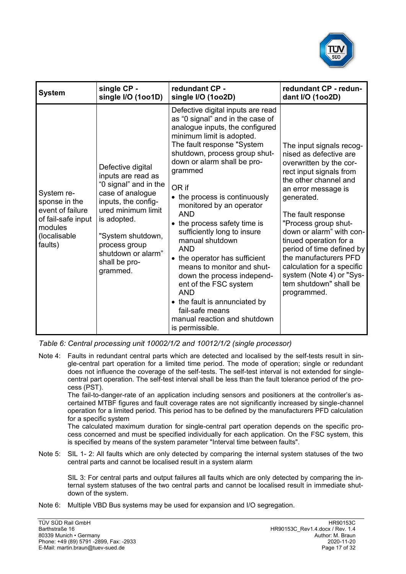

| <b>System</b>                                                                                               | single CP -                                                                                                                                                                                                                               | redundant CP -                                                                                                                                                                                                                                                                                                                                                                                                                                                                                                                                                                                                                                                                | redundant CP - redun-                                                                                                                                                                                                                                                                                                                                                                                                               |
|-------------------------------------------------------------------------------------------------------------|-------------------------------------------------------------------------------------------------------------------------------------------------------------------------------------------------------------------------------------------|-------------------------------------------------------------------------------------------------------------------------------------------------------------------------------------------------------------------------------------------------------------------------------------------------------------------------------------------------------------------------------------------------------------------------------------------------------------------------------------------------------------------------------------------------------------------------------------------------------------------------------------------------------------------------------|-------------------------------------------------------------------------------------------------------------------------------------------------------------------------------------------------------------------------------------------------------------------------------------------------------------------------------------------------------------------------------------------------------------------------------------|
|                                                                                                             | single I/O (1001D)                                                                                                                                                                                                                        | single I/O (1002D)                                                                                                                                                                                                                                                                                                                                                                                                                                                                                                                                                                                                                                                            | dant I/O (1002D)                                                                                                                                                                                                                                                                                                                                                                                                                    |
| System re-<br>sponse in the<br>event of failure<br>of fail-safe input<br>modules<br>(localisable<br>faults) | Defective digital<br>inputs are read as<br>"0 signal" and in the<br>case of analogue<br>inputs, the config-<br>ured minimum limit<br>is adopted.<br>"System shutdown,<br>process group<br>shutdown or alarm"<br>shall be pro-<br>grammed. | Defective digital inputs are read<br>as "0 signal" and in the case of<br>analogue inputs, the configured<br>minimum limit is adopted.<br>The fault response "System<br>shutdown, process group shut-<br>down or alarm shall be pro-<br>grammed<br>OR if<br>• the process is continuously<br>monitored by an operator<br><b>AND</b><br>• the process safety time is<br>sufficiently long to insure<br>manual shutdown<br><b>AND</b><br>• the operator has sufficient<br>means to monitor and shut-<br>down the process independ-<br>ent of the FSC system<br><b>AND</b><br>• the fault is annunciated by<br>fail-safe means<br>manual reaction and shutdown<br>is permissible. | The input signals recog-<br>nised as defective are<br>overwritten by the cor-<br>rect input signals from<br>the other channel and<br>an error message is<br>generated.<br>The fault response<br>"Process group shut-<br>down or alarm" with con-<br>tinued operation for a<br>period of time defined by<br>the manufacturers PFD<br>calculation for a specific<br>system (Note 4) or "Sys-<br>tem shutdown" shall be<br>programmed. |

*Table 6: Central processing unit 10002/1/2 and 10012/1/2 (single processor)*

Note 4: Faults in redundant central parts which are detected and localised by the self-tests result in single-central part operation for a limited time period. The mode of operation; single or redundant does not influence the coverage of the self-tests. The self-test interval is not extended for singlecentral part operation. The self-test interval shall be less than the fault tolerance period of the process (PST).

The fail-to-danger-rate of an application including sensors and positioners at the controller's ascertained MTBF figures and fault coverage rates are not significantly increased by single-channel operation for a limited period. This period has to be defined by the manufacturers PFD calculation for a specific system

The calculated maximum duration for single-central part operation depends on the specific process concerned and must be specified individually for each application. On the FSC system, this is specified by means of the system parameter "Interval time between faults".

Note 5: SIL 1- 2: All faults which are only detected by comparing the internal system statuses of the two central parts and cannot be localised result in a system alarm

SIL 3: For central parts and output failures all faults which are only detected by comparing the internal system statuses of the two central parts and cannot be localised result in immediate shutdown of the system.

Note 6: Multiple VBD Bus systems may be used for expansion and I/O segregation.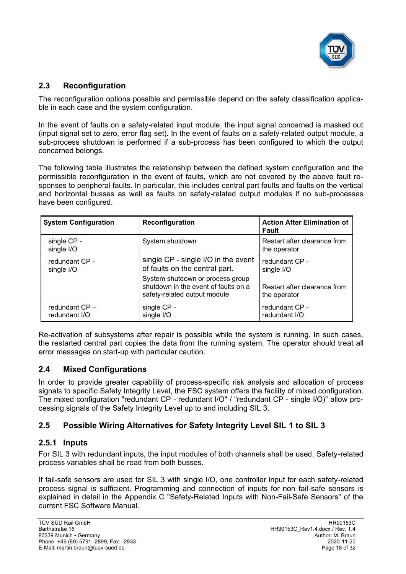

#### **2.3 Reconfiguration**

The reconfiguration options possible and permissible depend on the safety classification applicable in each case and the system configuration.

In the event of faults on a safety-related input module, the input signal concerned is masked out (input signal set to zero, error flag set). In the event of faults on a safety-related output module, a sub-process shutdown is performed if a sub-process has been configured to which the output concerned belongs.

The following table illustrates the relationship between the defined system configuration and the permissible reconfiguration in the event of faults, which are not covered by the above fault responses to peripheral faults. In particular, this includes central part faults and faults on the vertical and horizontal busses as well as faults on safety-related output modules if no sub-processes have been configured.

| <b>System Configuration</b>    | Reconfiguration                                                                                          | <b>Action After Elimination of</b><br>Fault  |
|--------------------------------|----------------------------------------------------------------------------------------------------------|----------------------------------------------|
| single CP -<br>single I/O      | System shutdown                                                                                          | Restart after clearance from<br>the operator |
| redundant CP -<br>single I/O   | single CP - single I/O in the event<br>of faults on the central part.                                    | redundant CP -<br>single I/O                 |
|                                | System shutdown or process group<br>shutdown in the event of faults on a<br>safety-related output module | Restart after clearance from<br>the operator |
| redundant CP-<br>redundant I/O | single CP -<br>single I/O                                                                                | redundant CP -<br>redundant I/O              |

Re-activation of subsystems after repair is possible while the system is running. In such cases, the restarted central part copies the data from the running system. The operator should treat all error messages on start-up with particular caution.

## **2.4 Mixed Configurations**

In order to provide greater capability of process-specific risk analysis and allocation of process signals to specific Safety Integrity Level, the FSC system offers the facility of mixed configuration. The mixed configuration "redundant CP - redundant I/O" / "redundant CP - single I/O)" allow processing signals of the Safety Integrity Level up to and including SIL 3.

## **2.5 Possible Wiring Alternatives for Safety Integrity Level SIL 1 to SIL 3**

#### **2.5.1 Inputs**

For SIL 3 with redundant inputs, the input modules of both channels shall be used. Safety-related process variables shall be read from both busses.

If fail-safe sensors are used for SIL 3 with single I/O, one controller input for each safety-related process signal is sufficient. Programming and connection of inputs for non fail-safe sensors is explained in detail in the Appendix C "Safety-Related Inputs with Non-Fail-Safe Sensors" of the current FSC Software Manual.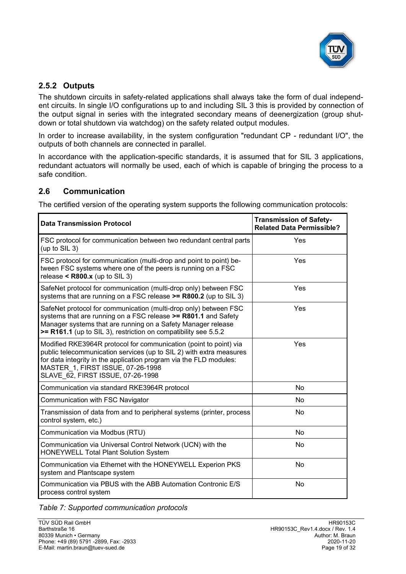

## **2.5.2 Outputs**

The shutdown circuits in safety-related applications shall always take the form of dual independent circuits. In single I/O configurations up to and including SIL 3 this is provided by connection of the output signal in series with the integrated secondary means of deenergization (group shutdown or total shutdown via watchdog) on the safety related output modules.

In order to increase availability, in the system configuration "redundant CP - redundant I/O", the outputs of both channels are connected in parallel.

In accordance with the application-specific standards, it is assumed that for SIL 3 applications, redundant actuators will normally be used, each of which is capable of bringing the process to a safe condition.

## **2.6 Communication**

The certified version of the operating system supports the following communication protocols:

| <b>Data Transmission Protocol</b>                                                                                                                                                                                                                                                        | <b>Transmission of Safety-</b><br><b>Related Data Permissible?</b> |
|------------------------------------------------------------------------------------------------------------------------------------------------------------------------------------------------------------------------------------------------------------------------------------------|--------------------------------------------------------------------|
| FSC protocol for communication between two redundant central parts<br>(up to SIL 3)                                                                                                                                                                                                      | Yes                                                                |
| FSC protocol for communication (multi-drop and point to point) be-<br>tween FSC systems where one of the peers is running on a FSC<br>release < $R800.x$ (up to SIL 3)                                                                                                                   | Yes                                                                |
| SafeNet protocol for communication (multi-drop only) between FSC<br>systems that are running on a FSC release >= R800.2 (up to SIL 3)                                                                                                                                                    | Yes                                                                |
| SafeNet protocol for communication (multi-drop only) between FSC<br>systems that are running on a FSC release >= R801.1 and Safety<br>Manager systems that are running on a Safety Manager release<br>>= R161.1 (up to SIL 3), restriction on compatibility see 5.5.2                    | Yes                                                                |
| Modified RKE3964R protocol for communication (point to point) via<br>public telecommunication services (up to SIL 2) with extra measures<br>for data integrity in the application program via the FLD modules:<br>MASTER 1, FIRST ISSUE, 07-26-1998<br>SLAVE 62, FIRST ISSUE, 07-26-1998 | Yes                                                                |
| Communication via standard RKE3964R protocol                                                                                                                                                                                                                                             | No                                                                 |
| Communication with FSC Navigator                                                                                                                                                                                                                                                         | N <sub>o</sub>                                                     |
| Transmission of data from and to peripheral systems (printer, process<br>control system, etc.)                                                                                                                                                                                           | <b>No</b>                                                          |
| Communication via Modbus (RTU)                                                                                                                                                                                                                                                           | <b>No</b>                                                          |
| Communication via Universal Control Network (UCN) with the<br><b>HONEYWELL Total Plant Solution System</b>                                                                                                                                                                               | <b>No</b>                                                          |
| Communication via Ethernet with the HONEYWELL Experion PKS<br>system and Plantscape system                                                                                                                                                                                               | No                                                                 |
| Communication via PBUS with the ABB Automation Contronic E/S<br>process control system                                                                                                                                                                                                   | No                                                                 |

*Table 7: Supported communication protocols*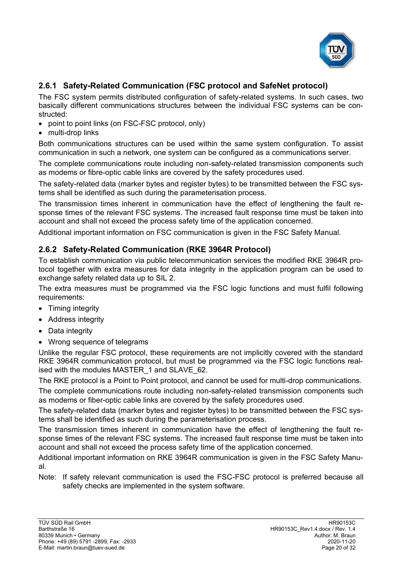

# <span id="page-19-0"></span>**2.6.1 Safety-Related Communication (FSC protocol and SafeNet protocol)**

The FSC system permits distributed configuration of safety-related systems. In such cases, two basically different communications structures between the individual FSC systems can be constructed:

- point to point links (on FSC-FSC protocol, only)
- multi-drop links

Both communications structures can be used within the same system configuration. To assist communication in such a network, one system can be configured as a communications server.

The complete communications route including non-safety-related transmission components such as modems or fibre-optic cable links are covered by the safety procedures used.

The safety-related data (marker bytes and register bytes) to be transmitted between the FSC systems shall be identified as such during the parameterisation process.

The transmission times inherent in communication have the effect of lengthening the fault response times of the relevant FSC systems. The increased fault response time must be taken into account and shall not exceed the process safety time of the application concerned.

Additional important information on FSC communication is given in the FSC Safety Manual.

#### <span id="page-19-1"></span>**2.6.2 Safety-Related Communication (RKE 3964R Protocol)**

To establish communication via public telecommunication services the modified RKE 3964R protocol together with extra measures for data integrity in the application program can be used to exchange safety related data up to SIL 2.

The extra measures must be programmed via the FSC logic functions and must fulfil following requirements:

- Timing integrity
- Address integrity
- Data integrity
- Wrong sequence of telegrams

Unlike the regular FSC protocol, these requirements are not implicitly covered with the standard RKE 3964R communication protocol, but must be programmed via the FSC logic functions realised with the modules MASTER 1 and SLAVE 62.

The RKE protocol is a Point to Point protocol, and cannot be used for multi-drop communications. The complete communications route including non-safety-related transmission components such as modems or fiber-optic cable links are covered by the safety procedures used.

The safety-related data (marker bytes and register bytes) to be transmitted between the FSC systems shall be identified as such during the parameterisation process.

The transmission times inherent in communication have the effect of lengthening the fault response times of the relevant FSC systems. The increased fault response time must be taken into account and shall not exceed the process safety time of the application concerned.

Additional important information on RKE 3964R communication is given in the FSC Safety Manual.

Note: If safety relevant communication is used the FSC-FSC protocol is preferred because all safety checks are implemented in the system software.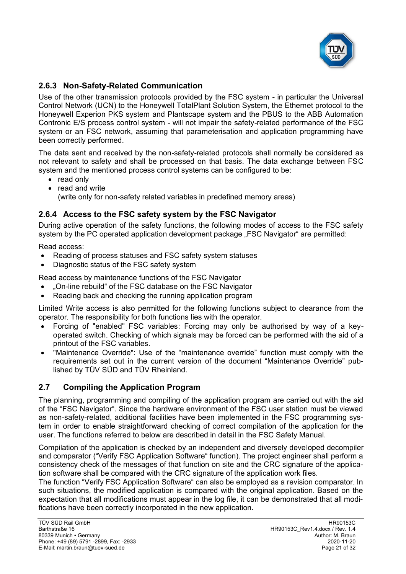

## <span id="page-20-0"></span>**2.6.3 Non-Safety-Related Communication**

Use of the other transmission protocols provided by the FSC system - in particular the Universal Control Network (UCN) to the Honeywell TotalPlant Solution System, the Ethernet protocol to the Honeywell Experion PKS system and Plantscape system and the PBUS to the ABB Automation Contronic E/S process control system - will not impair the safety-related performance of the FSC system or an FSC network, assuming that parameterisation and application programming have been correctly performed.

The data sent and received by the non-safety-related protocols shall normally be considered as not relevant to safety and shall be processed on that basis. The data exchange between FSC system and the mentioned process control systems can be configured to be:

- read only
- read and write (write only for non-safety related variables in predefined memory areas)

## **2.6.4 Access to the FSC safety system by the FSC Navigator**

During active operation of the safety functions, the following modes of access to the FSC safety system by the PC operated application development package "FSC Navigator" are permitted:

Read access:

- Reading of process statuses and FSC safety system statuses
- Diagnostic status of the FSC safety system

Read access by maintenance functions of the FSC Navigator

- "On-line rebuild" of the FSC database on the FSC Navigator
- Reading back and checking the running application program

Limited Write access is also permitted for the following functions subject to clearance from the operator. The responsibility for both functions lies with the operator.

- Forcing of "enabled" FSC variables: Forcing may only be authorised by way of a keyoperated switch. Checking of which signals may be forced can be performed with the aid of a printout of the FSC variables.
- "Maintenance Override": Use of the "maintenance override" function must comply with the requirements set out in the current version of the document "Maintenance Override" published by TÜV SÜD and TÜV Rheinland.

## **2.7 Compiling the Application Program**

The planning, programming and compiling of the application program are carried out with the aid of the "FSC Navigator". Since the hardware environment of the FSC user station must be viewed as non-safety-related, additional facilities have been implemented in the FSC programming system in order to enable straightforward checking of correct compilation of the application for the user. The functions referred to below are described in detail in the FSC Safety Manual.

Compilation of the application is checked by an independent and diversely developed decompiler and comparator ("Verify FSC Application Software" function). The project engineer shall perform a consistency check of the messages of that function on site and the CRC signature of the application software shall be compared with the CRC signature of the application work files.

The function "Verify FSC Application Software" can also be employed as a revision comparator. In such situations, the modified application is compared with the original application. Based on the expectation that all modifications must appear in the log file, it can be demonstrated that all modifications have been correctly incorporated in the new application.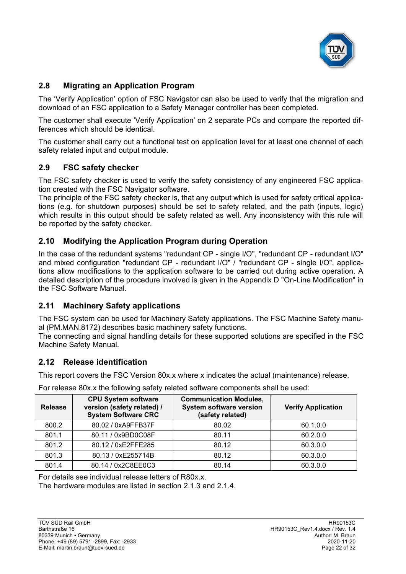

# **2.8 Migrating an Application Program**

The 'Verify Application' option of FSC Navigator can also be used to verify that the migration and download of an FSC application to a Safety Manager controller has been completed.

The customer shall execute 'Verify Application' on 2 separate PCs and compare the reported differences which should be identical.

The customer shall carry out a functional test on application level for at least one channel of each safety related input and output module.

## **2.9 FSC safety checker**

The FSC safety checker is used to verify the safety consistency of any engineered FSC application created with the FSC Navigator software.

The principle of the FSC safety checker is, that any output which is used for safety critical applications (e.g. for shutdown purposes) should be set to safety related, and the path (inputs, logic) which results in this output should be safety related as well. Any inconsistency with this rule will be reported by the safety checker.

## **2.10 Modifying the Application Program during Operation**

In the case of the redundant systems "redundant CP - single I/O", "redundant CP - redundant I/O" and mixed configuration "redundant CP - redundant I/O" / "redundant CP - single I/O", applications allow modifications to the application software to be carried out during active operation. A detailed description of the procedure involved is given in the Appendix D "On-Line Modification" in the FSC Software Manual.

## **2.11 Machinery Safety applications**

The FSC system can be used for Machinery Safety applications. The FSC Machine Safety manual (PM.MAN.8172) describes basic machinery safety functions.

The connecting and signal handling details for these supported solutions are specified in the FSC Machine Safety Manual.

## <span id="page-21-0"></span>**2.12 Release identification**

This report covers the [FSC Version 80x.x](#page-0-5) where x indicates the actual (maintenance) release.

For release 80x.x the following safety related software components shall be used:

| <b>Release</b> | <b>CPU System software</b><br>version (safety related) /<br><b>System Software CRC</b> | <b>Communication Modules,</b><br><b>System software version</b><br>(safety related) | <b>Verify Application</b> |
|----------------|----------------------------------------------------------------------------------------|-------------------------------------------------------------------------------------|---------------------------|
| 800.2          | 80.02 / 0xA9FFB37F                                                                     | 80.02                                                                               | 60.1.0.0                  |
| 801.1          | 80.11 / 0x9BD0C08F                                                                     | 80.11                                                                               | 60.2.0.0                  |
| 801.2          | 80.12 / 0xE2FFE285                                                                     | 80.12                                                                               | 60.3.0.0                  |
| 801.3          | 80.13 / 0xE255714B                                                                     | 80.12                                                                               | 60.3.0.0                  |
| 801.4          | 80.14 / 0x2C8EE0C3                                                                     | 80.14                                                                               | 60.3.0.0                  |

For details see individual release letters of R80x.x.

The hardware modules are listed in section [2.1.3](#page-7-0) and [2.1.4.](#page-10-0)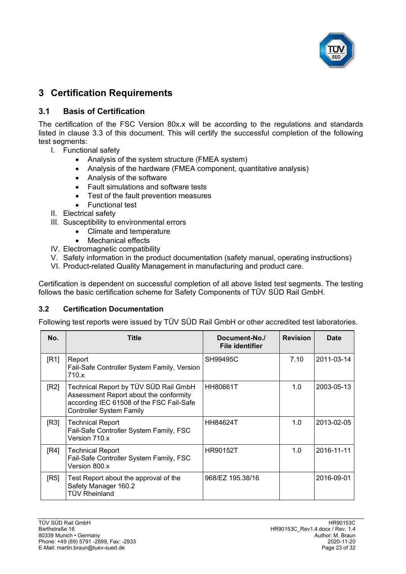

# <span id="page-22-0"></span>**3 Certification Requirements**

## **3.1 Basis of Certification**

The certification of the [FSC Version](#page-0-5) 80x.x will be according to the regulations and standards listed in clause [3.3](#page-23-0) of this document. This will certify the successful completion of the following test segments:

- I. Functional safety
	- Analysis of the system structure (FMEA system)
	- Analysis of the hardware (FMEA component, quantitative analysis)
	- Analysis of the software
	- Fault simulations and software tests
	- Test of the fault prevention measures
	- Functional test
- II. Electrical safety
- III. Susceptibility to environmental errors
	- Climate and temperature
	- Mechanical effects
- IV. Electromagnetic compatibility
- V. Safety information in the product documentation (safety manual, operating instructions)
- VI. Product-related Quality Management in manufacturing and product care.

Certification is dependent on successful completion of all above listed test segments. The testing follows the basic certification scheme for Safety Components of TÜV SÜD Rail GmbH.

#### **3.2 Certification Documentation**

Following test reports were issued by TÜV SÜD Rail GmbH or other accredited test laboratories.

<span id="page-22-1"></span>

| No.  | Title                                                                                                                                                          | Document-No./<br><b>File identifier</b> | <b>Revision</b> | <b>Date</b> |
|------|----------------------------------------------------------------------------------------------------------------------------------------------------------------|-----------------------------------------|-----------------|-------------|
| [R1] | Report<br>Fail-Safe Controller System Family, Version<br>710.x                                                                                                 | SH99495C                                | 7.10            | 2011-03-14  |
| [R2] | Technical Report by TÜV SÜD Rail GmbH<br>Assessment Report about the conformity<br>according IEC 61508 of the FSC Fail-Safe<br><b>Controller System Family</b> | HH80661T                                | 1.0             | 2003-05-13  |
| [R3] | <b>Technical Report</b><br>Fail-Safe Controller System Family, FSC<br>Version 710.x                                                                            | HH84624T                                | 1.0             | 2013-02-05  |
| [RA] | <b>Technical Report</b><br>Fail-Safe Controller System Family, FSC<br>Version 800.x                                                                            | <b>HR90152T</b>                         | 1.0             | 2016-11-11  |
| [RS] | Test Report about the approval of the<br>Safety Manager 160.2<br><b>TÜV Rheinland</b>                                                                          | 968/EZ 195.38/16                        |                 | 2016-09-01  |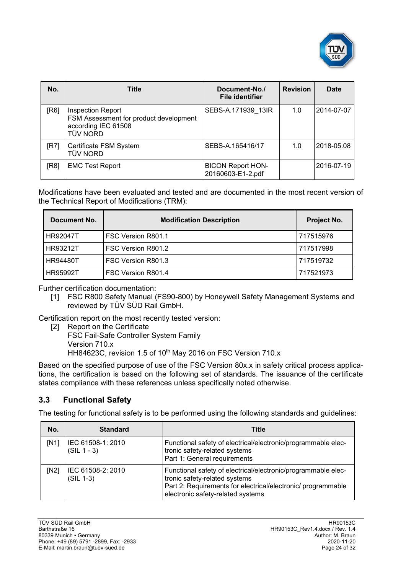

| No.  | <b>Title</b>                                                                                                 | Document-No./<br><b>File identifier</b>       | <b>Revision</b> | <b>Date</b> |
|------|--------------------------------------------------------------------------------------------------------------|-----------------------------------------------|-----------------|-------------|
| [R6] | <b>Inspection Report</b><br>FSM Assessment for product development<br>according IEC 61508<br><b>TÜV NORD</b> | SEBS-A.171939 13IR                            | 1.0             | 2014-07-07  |
| IR7  | Certificate FSM System<br><b>TÜV NORD</b>                                                                    | SEBS-A.165416/17                              | 1.0             | 2018-05.08  |
| [R8] | <b>EMC Test Report</b>                                                                                       | <b>BICON Report HON-</b><br>20160603-E1-2.pdf |                 | 2016-07-19  |

<span id="page-23-1"></span>Modifications have been evaluated and tested and are documented in the most recent version of the Technical Report of Modifications (TRM):

| Document No.    | <b>Modification Description</b> | Project No. |
|-----------------|---------------------------------|-------------|
| <b>HR92047T</b> | FSC Version R801.1              | 717515976   |
| HR93212T        | FSC Version R801.2              | 717517998   |
| <b>HR94480T</b> | FSC Version R801.3              | 717519732   |
| <b>HR95992T</b> | FSC Version R801.4              | 717521973   |

Further certification documentation:

[1] FSC R800 Safety Manual (FS90-800) by [Honeywell Safety Management Systems](#page-0-3) and reviewed by TÜV SÜD Rail GmbH.

Certification report on the most recently tested version:

[2] Report on the Certificate FSC Fail-Safe Controller System Family Version 710.x HH84623C, revision 1.5 of 10<sup>th</sup> May 2016 on FSC Version 710.x

Based on the specified purpose of use of the [FSC Version 80x.x](#page-0-5) in safety critical process applications, the certification is based on the following set of standards. The issuance of the certificate states compliance with these references unless specifically noted otherwise.

## <span id="page-23-0"></span>**3.3 Functional Safety**

The testing for functional safety is to be performed using the following standards and guidelines:

| No.  | <b>Standard</b>                    | Title                                                                                                                                                                                               |
|------|------------------------------------|-----------------------------------------------------------------------------------------------------------------------------------------------------------------------------------------------------|
| IN11 | IEC 61508-1: 2010<br>$(SIL 1 - 3)$ | Functional safety of electrical/electronic/programmable elec-<br>tronic safety-related systems<br>Part 1: General requirements                                                                      |
| [N2] | IEC 61508-2: 2010<br>$(SIL 1-3)$   | Functional safety of electrical/electronic/programmable elec-<br>tronic safety-related systems<br>Part 2: Requirements for electrical/electronic/ programmable<br>electronic safety-related systems |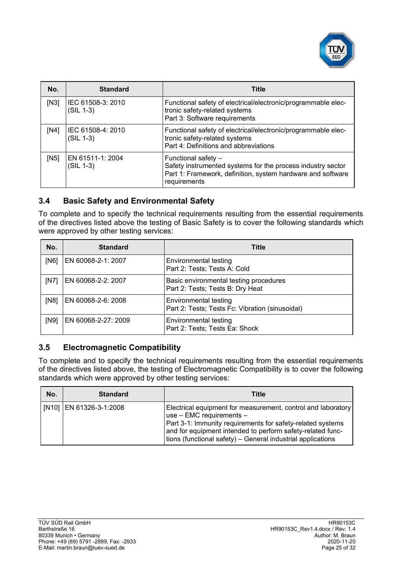

| No.  | <b>Standard</b>                  | <b>Title</b>                                                                                                                                                      |
|------|----------------------------------|-------------------------------------------------------------------------------------------------------------------------------------------------------------------|
| [N3] | IEC 61508-3: 2010<br>$(SIL 1-3)$ | Functional safety of electrical/electronic/programmable elec-<br>tronic safety-related systems<br>Part 3: Software requirements                                   |
| [N4] | IEC 61508-4: 2010<br>$(SIL 1-3)$ | Functional safety of electrical/electronic/programmable elec-<br>tronic safety-related systems<br>Part 4: Definitions and abbreviations                           |
| [N5] | EN 61511-1: 2004<br>$(SIL 1-3)$  | Functional safety -<br>Safety instrumented systems for the process industry sector<br>Part 1: Framework, definition, system hardware and software<br>requirements |

## **3.4 Basic Safety and Environmental Safety**

To complete and to specify the technical requirements resulting from the essential requirements of the directives listed above the testing of Basic Safety is to cover the following standards which were approved by other testing services:

| No.  | <b>Standard</b>     | <b>Title</b>                                                               |
|------|---------------------|----------------------------------------------------------------------------|
| [N6] | EN 60068-2-1: 2007  | Environmental testing<br>Part 2: Tests; Tests A: Cold                      |
| [N7] | EN 60068-2-2: 2007  | Basic environmental testing procedures<br>Part 2: Tests; Tests B: Dry Heat |
| [N8] | EN 60068-2-6: 2008  | Environmental testing<br>Part 2: Tests; Tests Fc: Vibration (sinusoidal)   |
| [N9] | EN 60068-2-27: 2009 | Environmental testing<br>Part 2: Tests; Tests Ea: Shock                    |

## **3.5 Electromagnetic Compatibility**

To complete and to specify the technical requirements resulting from the essential requirements of the directives listed above, the testing of Electromagnetic Compatibility is to cover the following standards which were approved by other testing services:

| No. | <b>Standard</b>         | Title                                                                                                                                                                                                                                                                               |
|-----|-------------------------|-------------------------------------------------------------------------------------------------------------------------------------------------------------------------------------------------------------------------------------------------------------------------------------|
|     | [N10] EN 61326-3-1:2008 | Electrical equipment for measurement, control and laboratory<br>use - EMC requirements -<br>Part 3-1: Immunity requirements for safety-related systems<br>and for equipment intended to perform safety-related func-<br>tions (functional safety) – General industrial applications |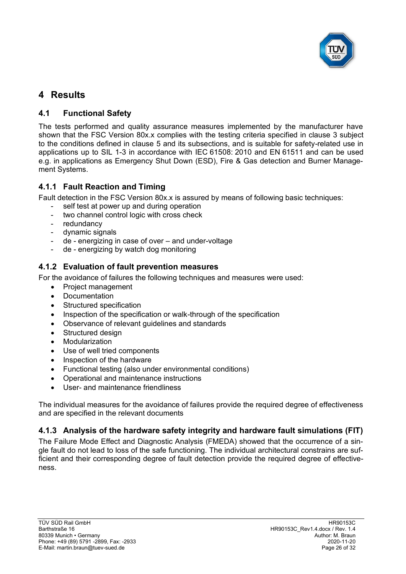

# <span id="page-25-0"></span>**4 Results**

# **4.1 Functional Safety**

The tests performed and quality assurance measures implemented by the manufacturer have shown that the [FSC Version 80x.x](#page-0-5) complies with the testing criteria specified in clause [3](#page-22-0) subject to the conditions defined in clause [5](#page-28-0) and its subsections, and is suitable for safety-related use in applications up to SIL [1-3](#page-3-1) in accordance with IEC 61508: 2010 and EN 61511 and can be used e.g. in applications as Emergency Shut Down (ESD), Fire & Gas detection and Burner Management Systems.

## **4.1.1 Fault Reaction and Timing**

Fault detection in the [FSC Version 80x.x](#page-0-5) is assured by means of following basic techniques:

- self test at power up and during operation
- two channel control logic with cross check
- redundancy
- dynamic signals
- de energizing in case of over and under-voltage
- de energizing by watch dog monitoring

#### **4.1.2 Evaluation of fault prevention measures**

For the avoidance of failures the following techniques and measures were used:

- Project management
- Documentation
- Structured specification
- Inspection of the specification or walk-through of the specification
- Observance of relevant guidelines and standards
- Structured design
- Modularization
- Use of well tried components
- Inspection of the hardware
- Functional testing (also under environmental conditions)
- Operational and maintenance instructions
- User- and maintenance friendliness

The individual measures for the avoidance of failures provide the required degree of effectiveness and are specified in the relevant documents

## **4.1.3 Analysis of the hardware safety integrity and hardware fault simulations (FIT)**

The Failure Mode Effect and Diagnostic Analysis (FMEDA) showed that the occurrence of a single fault do not lead to loss of the safe functioning. The individual architectural constrains are sufficient and their corresponding degree of fault detection provide the required degree of effectiveness.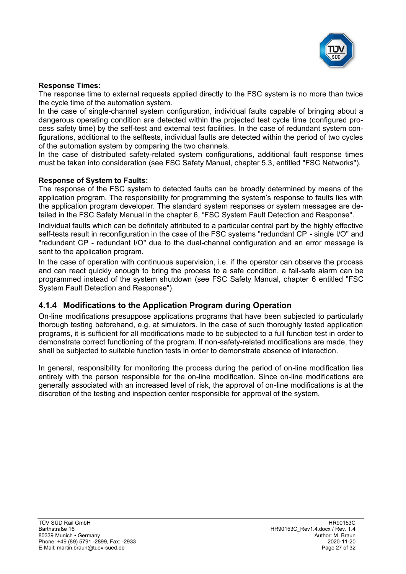

#### **Response Times:**

The response time to external requests applied directly to the FSC system is no more than twice the cycle time of the automation system.

In the case of single-channel system configuration, individual faults capable of bringing about a dangerous operating condition are detected within the projected test cycle time (configured process safety time) by the self-test and external test facilities. In the case of redundant system configurations, additional to the selftests, individual faults are detected within the period of two cycles of the automation system by comparing the two channels.

In the case of distributed safety-related system configurations, additional fault response times must be taken into consideration (see FSC Safety Manual, chapter 5.3, entitled "FSC Networks").

#### **Response of System to Faults:**

The response of the FSC system to detected faults can be broadly determined by means of the application program. The responsibility for programming the system's response to faults lies with the application program developer. The standard system responses or system messages are detailed in the FSC Safety Manual in the chapter 6, "FSC System Fault Detection and Response".

Individual faults which can be definitely attributed to a particular central part by the highly effective self-tests result in reconfiguration in the case of the FSC systems "redundant CP - single I/O" and "redundant CP - redundant I/O" due to the dual-channel configuration and an error message is sent to the application program.

In the case of operation with continuous supervision, i.e. if the operator can observe the process and can react quickly enough to bring the process to a safe condition, a fail-safe alarm can be programmed instead of the system shutdown (see FSC Safety Manual, chapter 6 entitled "FSC System Fault Detection and Response").

#### **4.1.4 Modifications to the Application Program during Operation**

On-line modifications presuppose applications programs that have been subjected to particularly thorough testing beforehand, e.g. at simulators. In the case of such thoroughly tested application programs, it is sufficient for all modifications made to be subjected to a full function test in order to demonstrate correct functioning of the program. If non-safety-related modifications are made, they shall be subjected to suitable function tests in order to demonstrate absence of interaction.

In general, responsibility for monitoring the process during the period of on-line modification lies entirely with the person responsible for the on-line modification. Since on-line modifications are generally associated with an increased level of risk, the approval of on-line modifications is at the discretion of the testing and inspection center responsible for approval of the system.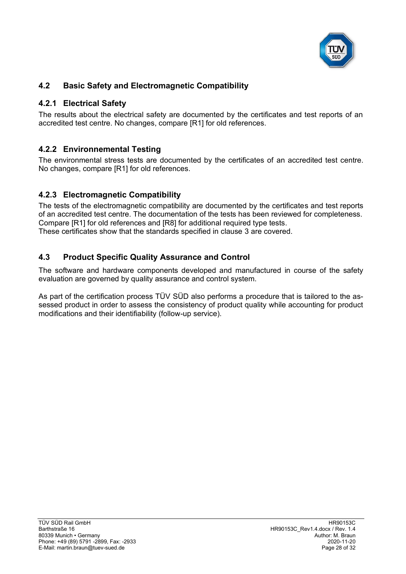

# **4.2 Basic Safety and Electromagnetic Compatibility**

#### **4.2.1 Electrical Safety**

The results about the electrical safety are documented by the certificates and test reports of an accredited test centre. No changes, compare [\[R1\]](#page-22-1) for old references.

## **4.2.2 Environnemental Testing**

The environmental stress tests are documented by the certificates of an accredited test centre. No changes, compare [\[R1\]](#page-22-1) for old references.

## **4.2.3 Electromagnetic Compatibility**

The tests of the electromagnetic compatibility are documented by the certificates and test reports of an accredited test centre. The documentation of the tests has been reviewed for completeness. Compare [\[R1\]](#page-22-1) for old references and [\[R8\]](#page-23-1) for additional required type tests. These certificates show that the standards specified in clause [3](#page-22-0) are covered.

#### **4.3 Product Specific Quality Assurance and Control**

The software and hardware components developed and manufactured in course of the safety evaluation are governed by quality assurance and control system.

As part of the certification process TÜV SÜD also performs a procedure that is tailored to the assessed product in order to assess the consistency of product quality while accounting for product modifications and their identifiability (follow-up service).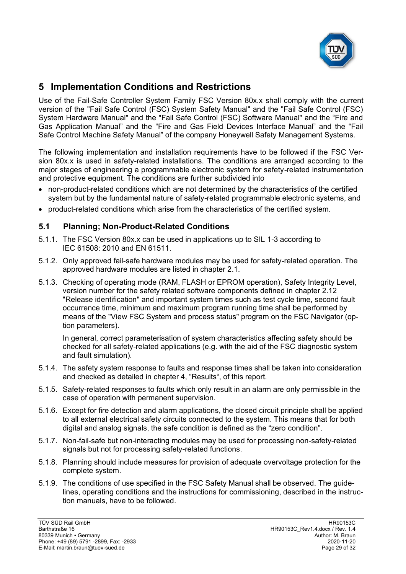

# <span id="page-28-0"></span>**5 Implementation Conditions and Restrictions**

Use of the [Fail-Safe Controller System Family](#page-0-4) [FSC Version 80x.x](#page-0-5) shall comply with the current version of the "Fail Safe Control (FSC) System Safety Manual" and the "Fail Safe Control (FSC) System Hardware Manual" and the "Fail Safe Control (FSC) Software Manual" and the "Fire and Gas Application Manual" and the "Fire and Gas Field Devices Interface Manual" and the "Fail Safe Control Machine Safety Manual" of the company Honeywell Safety Management Systems.

The following implementation and installation requirements have to be followed if the [FSC Ver](#page-0-5)[sion 80x.x](#page-0-5) is used in safety-related installations. The conditions are arranged according to the major stages of engineering a programmable electronic system for safety-related instrumentation and protective equipment. The conditions are further subdivided into

- non-product-related conditions which are not determined by the characteristics of the certified system but by the fundamental nature of safety-related programmable electronic systems, and
- product-related conditions which arise from the characteristics of the certified system.

#### **5.1 Planning; Non-Product-Related Conditions**

- 5.1.1. The [FSC Version 80x.x](#page-0-5) can be used in applications up to SIL [1-3](#page-3-1) according to IEC 61508: 2010 and EN 61511.
- 5.1.2. Only approved fail-safe hardware modules may be used for safety-related operation. The approved hardware modules are listed in chapter [2.1.](#page-4-0)
- 5.1.3. Checking of operating mode (RAM, FLASH or EPROM operation), Safety Integrity Level, version number for the safety related software components defined in chapter [2.12](#page-21-0) "Release [identification"](#page-21-0) and important system times such as test cycle time, second fault occurrence time, minimum and maximum program running time shall be performed by means of the "View FSC System and process status" program on the FSC Navigator (option parameters).

In general, correct parameterisation of system characteristics affecting safety should be checked for all safety-related applications (e.g. with the aid of the FSC diagnostic system and fault simulation).

- 5.1.4. The safety system response to faults and response times shall be taken into consideration and checked as detailed in chapter [4](#page-25-0), "[Results](#page-25-0)", of this report.
- 5.1.5. Safety-related responses to faults which only result in an alarm are only permissible in the case of operation with permanent supervision.
- 5.1.6. Except for fire detection and alarm applications, the closed circuit principle shall be applied to all external electrical safety circuits connected to the system. This means that for both digital and analog signals, the safe condition is defined as the "zero condition".
- 5.1.7. Non-fail-safe but non-interacting modules may be used for processing non-safety-related signals but not for processing safety-related functions.
- 5.1.8. Planning should include measures for provision of adequate overvoltage protection for the complete system.
- 5.1.9. The conditions of use specified in the FSC Safety Manual shall be observed. The guidelines, operating conditions and the instructions for commissioning, described in the instruction manuals, have to be followed.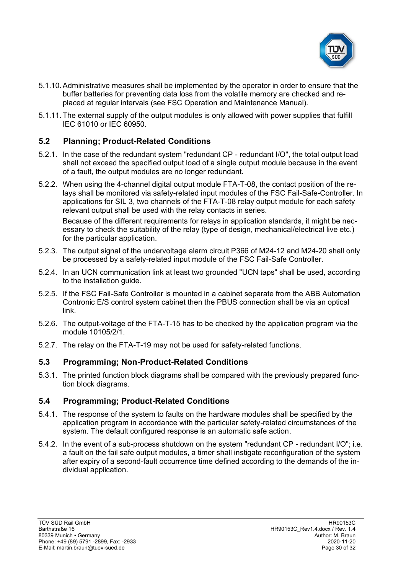

- 5.1.10.Administrative measures shall be implemented by the operator in order to ensure that the buffer batteries for preventing data loss from the volatile memory are checked and replaced at regular intervals (see FSC Operation and Maintenance Manual).
- 5.1.11.The external supply of the output modules is only allowed with power supplies that fulfill IEC 61010 or IEC 60950.

#### **5.2 Planning; Product-Related Conditions**

- 5.2.1. In the case of the redundant system "redundant CP redundant I/O", the total output load shall not exceed the specified output load of a single output module because in the event of a fault, the output modules are no longer redundant.
- 5.2.2. When using the 4-channel digital output module FTA-T-08, the contact position of the relays shall be monitored via safety-related input modules of the FSC Fail-Safe-Controller. In applications for SIL 3, two channels of the FTA-T-08 relay output module for each safety relevant output shall be used with the relay contacts in series.

Because of the different requirements for relays in application standards, it might be necessary to check the suitability of the relay (type of design, mechanical/electrical live etc.) for the particular application.

- 5.2.3. The output signal of the undervoltage alarm circuit P366 of M24-12 and M24-20 shall only be processed by a safety-related input module of the FSC Fail-Safe Controller.
- 5.2.4. In an UCN communication link at least two grounded "UCN taps" shall be used, according to the installation guide.
- 5.2.5. If the FSC Fail-Safe Controller is mounted in a cabinet separate from the ABB Automation Contronic E/S control system cabinet then the PBUS connection shall be via an optical link.
- 5.2.6. The output-voltage of the FTA-T-15 has to be checked by the application program via the module 10105/2/1.
- 5.2.7. The relay on the FTA-T-19 may not be used for safety-related functions.

#### **5.3 Programming; Non-Product-Related Conditions**

5.3.1. The printed function block diagrams shall be compared with the previously prepared function block diagrams.

#### **5.4 Programming; Product-Related Conditions**

- 5.4.1. The response of the system to faults on the hardware modules shall be specified by the application program in accordance with the particular safety-related circumstances of the system. The default configured response is an automatic safe action.
- 5.4.2. In the event of a sub-process shutdown on the system "redundant CP redundant I/O"; i.e. a fault on the fail safe output modules, a timer shall instigate reconfiguration of the system after expiry of a second-fault occurrence time defined according to the demands of the individual application.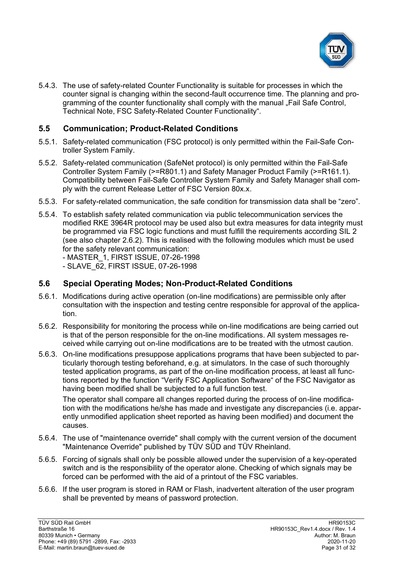

5.4.3. The use of safety-related Counter Functionality is suitable for processes in which the counter signal is changing within the second-fault occurrence time. The planning and programming of the counter functionality shall comply with the manual "Fail Safe Control, Technical Note, FSC Safety-Related Counter Functionality".

#### **5.5 Communication; Product-Related Conditions**

- 5.5.1. Safety-related communication (FSC protocol) is only permitted within the [Fail-Safe Con](#page-0-4)[troller System Family.](#page-0-4)
- <span id="page-30-0"></span>5.5.2. Safety-related communication (SafeNet protocol) is only permitted within the [Fail-Safe](#page-0-4)  [Controller System Family](#page-0-4) (>=R801.1) and Safety Manager Product Family (>=R161.1). Compatibility between [Fail-Safe Controller System Family](#page-0-4) and Safety Manager shall comply with the current Release Letter of [FSC Version 80x.x.](#page-0-5)
- 5.5.3. For safety-related communication, the safe condition for transmission data shall be "zero".
- 5.5.4. To establish safety related communication via public telecommunication services the modified RKE 3964R protocol may be used also but extra measures for data integrity must be programmed via FSC logic functions and must fulfill the requirements according SIL 2 (see also chapter [2.6.2\)](#page-19-1). This is realised with the following modules which must be used for the safety relevant communication:

- MASTER\_1, FIRST ISSUE, 07-26-1998 - SLAVE\_62, FIRST ISSUE, 07-26-1998

#### **5.6 Special Operating Modes; Non-Product-Related Conditions**

- 5.6.1. Modifications during active operation (on-line modifications) are permissible only after consultation with the inspection and testing centre responsible for approval of the application.
- 5.6.2. Responsibility for monitoring the process while on-line modifications are being carried out is that of the person responsible for the on-line modifications. All system messages received while carrying out on-line modifications are to be treated with the utmost caution.
- 5.6.3. On-line modifications presuppose applications programs that have been subjected to particularly thorough testing beforehand, e.g. at simulators. In the case of such thoroughly tested application programs, as part of the on-line modification process, at least all functions reported by the function "Verify FSC Application Software" of the FSC Navigator as having been modified shall be subjected to a full function test.

The operator shall compare all changes reported during the process of on-line modification with the modifications he/she has made and investigate any discrepancies (i.e. apparently unmodified application sheet reported as having been modified) and document the causes.

- 5.6.4. The use of "maintenance override" shall comply with the current version of the document "Maintenance Override" published by TÜV SÜD and TÜV Rheinland.
- 5.6.5. Forcing of signals shall only be possible allowed under the supervision of a key-operated switch and is the responsibility of the operator alone. Checking of which signals may be forced can be performed with the aid of a printout of the FSC variables.
- 5.6.6. If the user program is stored in RAM or Flash, inadvertent alteration of the user program shall be prevented by means of password protection.